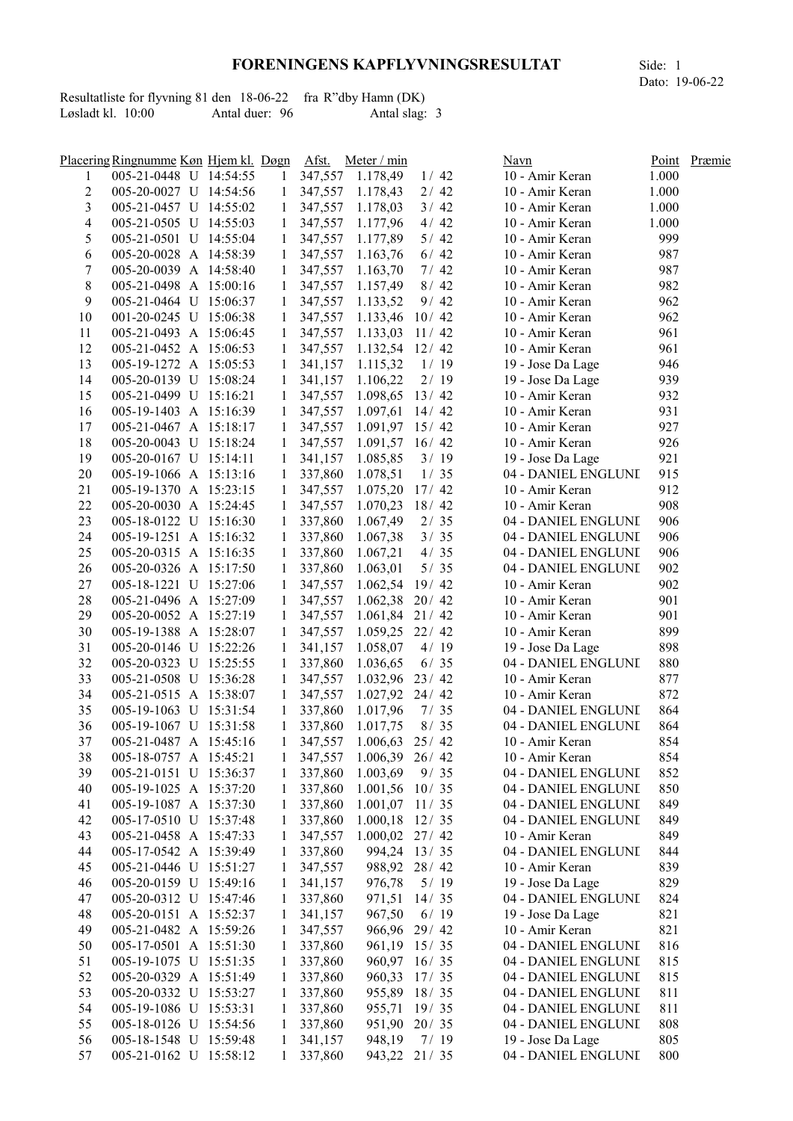## FORENINGENS KAPFLYVNINGSRESULTAT Side: 1

|                     |  |                | Resultatliste for flyvning 81 den 18-06-22 fra R"dby Hamn (DK) |
|---------------------|--|----------------|----------------------------------------------------------------|
| Løsladt kl. $10:00$ |  | Antal duer: 96 | Antal slag: 3                                                  |

|                | Placering Ringnumme Køn Hjem kl. Døgn |              | Afst.     | Meter / min              |                | Navn                | Point | Præmie |
|----------------|---------------------------------------|--------------|-----------|--------------------------|----------------|---------------------|-------|--------|
| 1              | 005-21-0448 U 14:54:55                | 1            |           | 347,557 1.178,49         | 1/42           | 10 - Amir Keran     | 1.000 |        |
| 2              | 005-20-0027 U 14:54:56                | 1            |           | 347,557 1.178,43         | 2/42           | 10 - Amir Keran     | 1.000 |        |
| 3              | 005-21-0457 U 14:55:02                | $\mathbf{1}$ |           | 347,557 1.178,03         | 3/42           | 10 - Amir Keran     | 1.000 |        |
| $\overline{4}$ | 005-21-0505 U 14:55:03                |              |           | 1 347,557 1.177,96       | 4/42           | 10 - Amir Keran     | 1.000 |        |
| 5              | 005-21-0501 U 14:55:04                |              |           | 1 347,557 1.177,89       | $5/42$         | 10 - Amir Keran     | 999   |        |
| 6              | 005-20-0028 A 14:58:39                |              |           | 1 347,557 1.163,76       | 6/42           | 10 - Amir Keran     | 987   |        |
| 7              | 005-20-0039 A 14:58:40                |              |           | 1 347,557 1.163,70       | 7/42           | 10 - Amir Keran     | 987   |        |
| $8\,$          | 005-21-0498 A 15:00:16                |              |           | 1 347,557 1.157,49       | 8/42           | 10 - Amir Keran     | 982   |        |
| 9              | 005-21-0464 U 15:06:37                |              |           | 1 347,557 1.133,52       | 9/42           | 10 - Amir Keran     | 962   |        |
| 10             | 001-20-0245 U 15:06:38                |              |           | 1 347,557 1.133,46 10/42 |                | 10 - Amir Keran     | 962   |        |
| 11             | 005-21-0493 A 15:06:45                |              |           | 1 347,557 1.133,03 11/42 |                | 10 - Amir Keran     | 961   |        |
| 12             | 005-21-0452 A 15:06:53                |              |           | 1 347,557 1.132,54 12/42 |                | 10 - Amir Keran     | 961   |        |
| 13             | 005-19-1272 A 15:05:53                |              | 1 341,157 | 1.115,32                 | 1/19           | 19 - Jose Da Lage   | 946   |        |
| 14             | 005-20-0139 U 15:08:24                |              | 1 341,157 | 1.106,22                 | 2/19           | 19 - Jose Da Lage   | 939   |        |
| 15             | 005-21-0499 U 15:16:21                |              | 1 347,557 | $1.098,65$ 13/42         |                | 10 - Amir Keran     | 932   |        |
| 16             | 005-19-1403 A 15:16:39                |              | 1 347,557 | $1.097,61$ 14/42         |                | 10 - Amir Keran     | 931   |        |
| 17             | 005-21-0467 A 15:18:17                |              | 1 347,557 | $1.091,97$ 15/42         |                | 10 - Amir Keran     | 927   |        |
| 18             | 005-20-0043 U 15:18:24                |              | 1 347,557 | $1.091,57$ 16/42         |                | 10 - Amir Keran     | 926   |        |
| 19             | 005-20-0167 U 15:14:11                | $\mathbf{1}$ | 341,157   | 1.085,85                 | 3/19           | 19 - Jose Da Lage   | 921   |        |
| 20             | 005-19-1066 A 15:13:16                | $\mathbf{1}$ | 337,860   | 1.078,51                 | 1/35           | 04 - DANIEL ENGLUNI | 915   |        |
| 21             | 005-19-1370 A 15:23:15                | $\mathbf{1}$ | 347,557   | $1.075,20$ 17/42         |                | 10 - Amir Keran     | 912   |        |
| 22             | 005-20-0030 A 15:24:45                | $\mathbf{1}$ | 347,557   | $1.070,23$ 18/42         |                | 10 - Amir Keran     | 908   |        |
| 23             | 005-18-0122 U 15:16:30                | $\mathbf{1}$ | 337,860   | 1.067,49                 | 2/35           | 04 - DANIEL ENGLUNI | 906   |        |
| 24             | 005-19-1251 A 15:16:32                | $\mathbf{1}$ | 337,860   | 1.067,38                 | 3/35           | 04 - DANIEL ENGLUNI | 906   |        |
| 25             |                                       |              |           |                          | 4/35           |                     | 906   |        |
| 26             | 005-20-0315 A 15:16:35                | $\mathbf{1}$ | 337,860   | 1.067,21                 | $5/35$         | 04 - DANIEL ENGLUNI | 902   |        |
|                | 005-20-0326 A 15:17:50                | $\mathbf{1}$ | 337,860   | 1.063,01                 |                | 04 - DANIEL ENGLUNI |       |        |
| 27             | 005-18-1221 U 15:27:06                | 1            | 347,557   | $1.062,54$ 19/42         |                | 10 - Amir Keran     | 902   |        |
| 28             | 005-21-0496 A 15:27:09                | 1            | 347,557   | $1.062,38$ 20/42         |                | 10 - Amir Keran     | 901   |        |
| 29             | 005-20-0052 A 15:27:19                | 1            | 347,557   | $1.061,84$ 21/42         |                | 10 - Amir Keran     | 901   |        |
| 30             | 005-19-1388 A 15:28:07                | 1            | 347,557   | $1.059,25$ 22/42         |                | 10 - Amir Keran     | 899   |        |
| 31             | 005-20-0146 U 15:22:26                | 1            | 341,157   | 1.058,07                 | 4/19           | 19 - Jose Da Lage   | 898   |        |
| 32             | 005-20-0323 U 15:25:55                | 1            | 337,860   | 1.036,65                 | 6/35           | 04 - DANIEL ENGLUNI | 880   |        |
| 33             | 005-21-0508 U 15:36:28                | $\mathbf{1}$ |           | 347,557 1.032,96 23/42   |                | 10 - Amir Keran     | 877   |        |
| 34             | 005-21-0515 A 15:38:07                | $\mathbf{1}$ |           | 347,557 1.027,92 24/42   |                | 10 - Amir Keran     | 872   |        |
| 35             | 005-19-1063 U 15:31:54                | $\mathbf{1}$ |           | 337,860 1.017,96         | 7/35           | 04 - DANIEL ENGLUNI | 864   |        |
| 36             | 005-19-1067 U 15:31:58                | 1            | 337,860   | 1.017,75                 | 8/35           | 04 - DANIEL ENGLUNI | 864   |        |
| 37             | 005-21-0487 A 15:45:16                | 1            | 347,557   | 1.006,63                 | 25/42          | 10 - Amir Keran     | 854   |        |
| 38             | 005-18-0757 A 15:45:21                | 1            | 347,557   | $1.006,39$ 26/42         |                | 10 - Amir Keran     | 854   |        |
| 39             | 005-21-0151 U 15:36:37                | $\mathbf{1}$ | 337,860   | $1.003,69$ 9/35          |                | 04 - DANIEL ENGLUNI | 852   |        |
| 40             | 005-19-1025 A 15:37:20                | $\mathbf{1}$ | 337,860   | $1.001,56$ 10/35         |                | 04 - DANIEL ENGLUNI | 850   |        |
| 41             | 005-19-1087 A 15:37:30                | $\mathbf{1}$ | 337,860   | $1.001,07$ 11/35         |                | 04 - DANIEL ENGLUNI | 849   |        |
| 42             | 005-17-0510 U 15:37:48                | $\mathbf{1}$ | 337,860   | $1.000, 18$ 12/35        |                | 04 - DANIEL ENGLUNI | 849   |        |
| 43             | 005-21-0458 A 15:47:33                | 1            | 347,557   | $1.000,02$ 27/42         |                | 10 - Amir Keran     | 849   |        |
| 44             | 005-17-0542 A 15:39:49                | $\mathbf{1}$ | 337,860   |                          | 994,24 13/35   | 04 - DANIEL ENGLUNI | 844   |        |
| 45             | 005-21-0446 U 15:51:27                | 1            | 347,557   |                          | 988,92 28 / 42 | 10 - Amir Keran     | 839   |        |
| 46             | 005-20-0159 U 15:49:16                | $\mathbf{1}$ | 341,157   | 976,78                   | 5/19           | 19 - Jose Da Lage   | 829   |        |
| 47             | 005-20-0312 U 15:47:46                | $\mathbf{1}$ | 337,860   |                          | 971,51 14/35   | 04 - DANIEL ENGLUNI | 824   |        |
| 48             | 005-20-0151 A 15:52:37                | $\mathbf{1}$ | 341,157   | 967,50                   | 6/19           | 19 - Jose Da Lage   | 821   |        |
| 49             | 005-21-0482 A 15:59:26                | $\mathbf{1}$ | 347,557   |                          | 966,96 29/42   | 10 - Amir Keran     | 821   |        |
| 50             | 005-17-0501 A 15:51:30                | $\mathbf{1}$ | 337,860   |                          | 961,19 15/35   | 04 - DANIEL ENGLUNI | 816   |        |
| 51             | 005-19-1075 U 15:51:35                | $\mathbf{1}$ | 337,860   |                          | 960,97 16/35   | 04 - DANIEL ENGLUNI | 815   |        |
| 52             | 005-20-0329 A 15:51:49                | 1            | 337,860   |                          | 960,33 17/35   | 04 - DANIEL ENGLUNI | 815   |        |
| 53             | 005-20-0332 U 15:53:27                | $\mathbf{1}$ | 337,860   |                          | 955,89 18/35   | 04 - DANIEL ENGLUNI | 811   |        |
| 54             | 005-19-1086 U 15:53:31                | 1            | 337,860   |                          | 955,71 19/35   | 04 - DANIEL ENGLUNI | 811   |        |
| 55             | 005-18-0126 U 15:54:56                | 1            | 337,860   |                          | 951,90 20/35   | 04 - DANIEL ENGLUNI | 808   |        |
| 56             | 005-18-1548 U 15:59:48                | 1            | 341,157   | 948,19                   | 7/19           | 19 - Jose Da Lage   | 805   |        |
| 57             | 005-21-0162 U 15:58:12                | 1            | 337,860   |                          | 943,22 21/35   | 04 - DANIEL ENGLUNI | 800   |        |
|                |                                       |              |           |                          |                |                     |       |        |